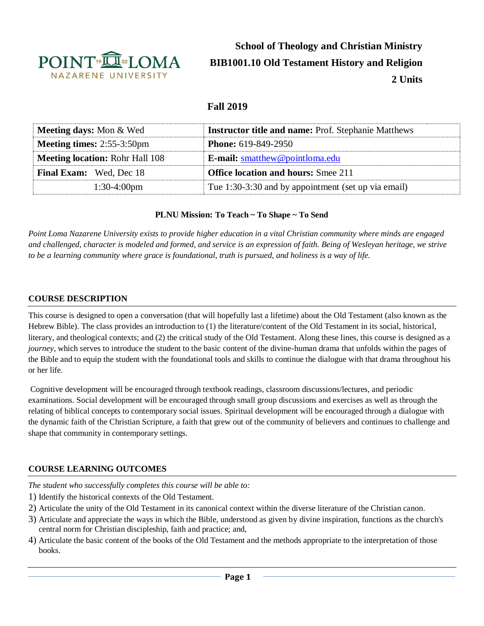

**School of Theology and Christian Ministry BIB1001.10 Old Testament History and Religion 2 Units**

# **Fall 2019**

| <b>Meeting days:</b> Mon & Wed         | <b>Instructor title and name: Prof. Stephanie Matthews</b> |  |
|----------------------------------------|------------------------------------------------------------|--|
| <b>Meeting times:</b> $2:55-3:50$ pm   | <b>Phone:</b> 619-849-2950                                 |  |
| <b>Meeting location: Rohr Hall 108</b> | <b>E-mail:</b> smatthew@pointloma.edu                      |  |
| <b>Final Exam:</b> Wed, Dec 18         | <b>Office location and hours:</b> Smee 211                 |  |
| $1:30-4:00$ pm                         | Tue 1:30-3:30 and by appointment (set up via email)        |  |

### **PLNU Mission: To Teach ~ To Shape ~ To Send**

*Point Loma Nazarene University exists to provide higher education in a vital Christian community where minds are engaged and challenged, character is modeled and formed, and service is an expression of faith. Being of Wesleyan heritage, we strive to be a learning community where grace is foundational, truth is pursued, and holiness is a way of life.*

### **COURSE DESCRIPTION**

This course is designed to open a conversation (that will hopefully last a lifetime) about the Old Testament (also known as the Hebrew Bible). The class provides an introduction to (1) the literature/content of the Old Testament in its social, historical, literary, and theological contexts; and (2) the critical study of the Old Testament. Along these lines, this course is designed as a *journey*, which serves to introduce the student to the basic content of the divine-human drama that unfolds within the pages of the Bible and to equip the student with the foundational tools and skills to continue the dialogue with that drama throughout his or her life.

Cognitive development will be encouraged through textbook readings, classroom discussions/lectures, and periodic examinations. Social development will be encouraged through small group discussions and exercises as well as through the relating of biblical concepts to contemporary social issues. Spiritual development will be encouraged through a dialogue with the dynamic faith of the Christian Scripture, a faith that grew out of the community of believers and continues to challenge and shape that community in contemporary settings.

### **COURSE LEARNING OUTCOMES**

*The student who successfully completes this course will be able to:* 

- 1) Identify the historical contexts of the Old Testament.
- 2) Articulate the unity of the Old Testament in its canonical context within the diverse literature of the Christian canon.
- 3) Articulate and appreciate the ways in which the Bible, understood as given by divine inspiration, functions as the church's central norm for Christian discipleship, faith and practice; and,
- 4) Articulate the basic content of the books of the Old Testament and the methods appropriate to the interpretation of those books.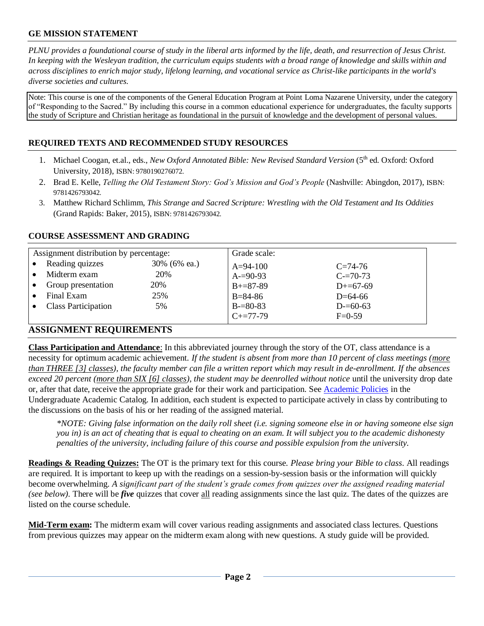## **GE MISSION STATEMENT**

*PLNU provides a foundational course of study in the liberal arts informed by the life, death, and resurrection of Jesus Christ. In keeping with the Wesleyan tradition, the curriculum equips students with a broad range of knowledge and skills within and across disciplines to enrich major study, lifelong learning, and vocational service as Christ-like participants in the world's diverse societies and cultures.*

Note: This course is one of the components of the General Education Program at Point Loma Nazarene University, under the category of "Responding to the Sacred." By including this course in a common educational experience for undergraduates, the faculty supports the study of Scripture and Christian heritage as foundational in the pursuit of knowledge and the development of personal values.

## **REQUIRED TEXTS AND RECOMMENDED STUDY RESOURCES**

- 1. Michael Coogan, et.al., eds., *New Oxford Annotated Bible: New Revised Standard Version* (5<sup>th</sup> ed. Oxford: Oxford University, 2018), ISBN: 9780190276072.
- 2. Brad E. Kelle, *Telling the Old Testament Story: God's Mission and God's People* (Nashville: Abingdon, 2017), ISBN: 9781426793042.
- 3. Matthew Richard Schlimm, *This Strange and Sacred Scripture: Wrestling with the Old Testament and Its Oddities* (Grand Rapids: Baker, 2015), ISBN: 9781426793042.

| Assignment distribution by percentage: |              | Grade scale:    |               |  |
|----------------------------------------|--------------|-----------------|---------------|--|
| Reading quizzes<br>$\bullet$           | 30% (6% ea.) | $A=94-100$      | $C=74-76$     |  |
| Midterm exam                           | 20%          | $A = 90 - 93$   | $C = 70-73$   |  |
| Group presentation                     | 20%          | $B + = 87 - 89$ | $D+=67-69$    |  |
| Final Exam<br>$\bullet$                | 25%          | $B = 84 - 86$   | $D=64-66$     |  |
| <b>Class Participation</b>             | 5%           | $B = 80 - 83$   | $D = 60 - 63$ |  |
|                                        |              | $C_{+}=77-79$   | $F=0-59$      |  |

### **COURSE ASSESSMENT AND GRADING**

## **ASSIGNMENT REQUIREMENTS**

**Class Participation and Attendance**: In this abbreviated journey through the story of the OT, class attendance is a necessity for optimum academic achievement. *If the student is absent from more than 10 percent of class meetings (more than THREE [3] classes), the faculty member can file a written report which may result in de-enrollment. If the absences exceed 20 percent (more than SIX [6] classes), the student may be deenrolled without notice* until the university drop date or, after that date, receive the appropriate grade for their work and participation. See [Academic Policies](http://catalog.pointloma.edu/content.php?catoid=18&navoid=1278) [i](http://catalog.pointloma.edu/content.php?catoid=18&navoid=1278)n the Undergraduate Academic Catalog. In addition, each student is expected to participate actively in class by contributing to the discussions on the basis of his or her reading of the assigned material.

*\*NOTE: Giving false information on the daily roll sheet (i.e. signing someone else in or having someone else sign you in) is an act of cheating that is equal to cheating on an exam. It will subject you to the academic dishonesty penalties of the university, including failure of this course and possible expulsion from the university.* 

**Readings & Reading Quizzes:** The OT is the primary text for this course. *Please bring your Bible to class*. All readings are required. It is important to keep up with the readings on a session-by-session basis or the information will quickly become overwhelming. *A significant part of the student's grade comes from quizzes over the assigned reading material (see below).* There will be *five* quizzes that cover all reading assignments since the last quiz. The dates of the quizzes are listed on the course schedule.

**Mid-Term exam:** The midterm exam will cover various reading assignments and associated class lectures. Questions from previous quizzes may appear on the midterm exam along with new questions. A study guide will be provided.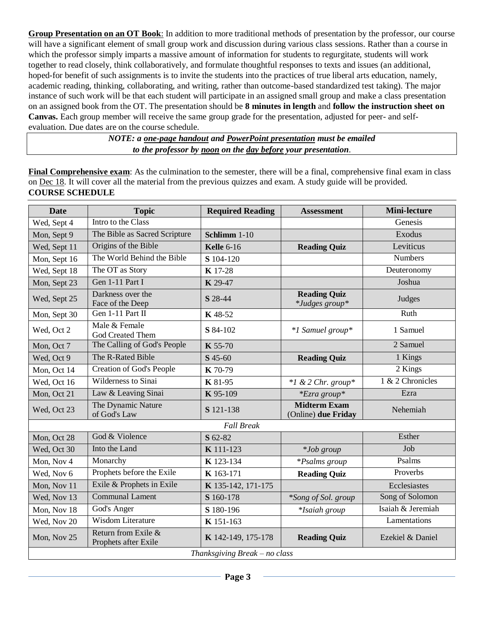**Group Presentation on an OT Book**: In addition to more traditional methods of presentation by the professor, our course will have a significant element of small group work and discussion during various class sessions. Rather than a course in which the professor simply imparts a massive amount of information for students to regurgitate, students will work together to read closely, think collaboratively, and formulate thoughtful responses to texts and issues (an additional, hoped-for benefit of such assignments is to invite the students into the practices of true liberal arts education, namely, academic reading, thinking, collaborating, and writing, rather than outcome-based standardized test taking). The major instance of such work will be that each student will participate in an assigned small group and make a class presentation on an assigned book from the OT. The presentation should be **8 minutes in length** and **follow the instruction sheet on Canvas.** Each group member will receive the same group grade for the presentation, adjusted for peer- and selfevaluation. Due dates are on the course schedule.

> *NOTE: a one-page handout and PowerPoint presentation must be emailed to the professor by noon on the day before your presentation*.

**Final Comprehensive exam**: As the culmination to the semester, there will be a final, comprehensive final exam in class on Dec 18. It will cover all the material from the previous quizzes and exam. A study guide will be provided. **COURSE SCHEDULE** 

| <b>Date</b>                   | <b>Topic</b>                                | <b>Required Reading</b> | <b>Assessment</b>                             | <b>Mini-lecture</b> |  |  |
|-------------------------------|---------------------------------------------|-------------------------|-----------------------------------------------|---------------------|--|--|
| Wed, Sept 4                   | Intro to the Class                          |                         |                                               | Genesis             |  |  |
| Mon, Sept 9                   | The Bible as Sacred Scripture               | Schlimm 1-10            |                                               | Exodus              |  |  |
| Wed, Sept 11                  | Origins of the Bible                        | <b>Kelle 6-16</b>       | <b>Reading Quiz</b>                           | Leviticus           |  |  |
| Mon, Sept 16                  | The World Behind the Bible                  | S 104-120               |                                               | <b>Numbers</b>      |  |  |
| Wed, Sept 18                  | The OT as Story                             | <b>K</b> 17-28          |                                               | Deuteronomy         |  |  |
| Mon, Sept 23                  | Gen 1-11 Part I                             | K 29-47                 |                                               | Joshua              |  |  |
| Wed, Sept 25                  | Darkness over the<br>Face of the Deep       | S 28-44                 | <b>Reading Quiz</b><br><i>*Judges group</i> * | Judges              |  |  |
| Mon, Sept 30                  | Gen 1-11 Part II                            | K 48-52                 |                                               | Ruth                |  |  |
| Wed, Oct 2                    | Male & Female<br>God Created Them           | S 84-102                | *1 Samuel group*                              | 1 Samuel            |  |  |
| Mon, Oct 7                    | The Calling of God's People                 | K 55-70                 |                                               | 2 Samuel            |  |  |
| Wed, Oct 9                    | The R-Rated Bible                           | $S$ 45-60               | <b>Reading Quiz</b>                           | 1 Kings             |  |  |
| Mon, Oct 14                   | <b>Creation of God's People</b>             | K 70-79                 |                                               | 2 Kings             |  |  |
| Wed, Oct 16                   | <b>Wilderness to Sinai</b>                  | <b>K</b> 81-95          | $*1$ & 2 Chr. group*                          | 1 & 2 Chronicles    |  |  |
| Mon, Oct 21                   | Law & Leaving Sinai                         | K 95-109                | *Ezra group*                                  | Ezra                |  |  |
| Wed, Oct 23                   | The Dynamic Nature<br>of God's Law          | S 121-138               | <b>Midterm Exam</b><br>(Online) due Friday    | Nehemiah            |  |  |
| <b>Fall Break</b>             |                                             |                         |                                               |                     |  |  |
| Mon, Oct 28                   | God & Violence                              | S 62-82                 |                                               | Esther              |  |  |
| Wed, Oct 30                   | Into the Land                               | K 111-123               | <i>*Job group</i>                             | Job                 |  |  |
| Mon, Nov 4                    | Monarchy                                    | K 123-134               | <i>*Psalms group</i>                          | Psalms              |  |  |
| Wed, Nov 6                    | Prophets before the Exile                   | K 163-171               | <b>Reading Quiz</b>                           | Proverbs            |  |  |
| Mon, Nov 11                   | Exile & Prophets in Exile                   | K 135-142, 171-175      |                                               | Ecclesiastes        |  |  |
| Wed, Nov 13                   | <b>Communal Lament</b>                      | S 160-178               | *Song of Sol. group                           | Song of Solomon     |  |  |
| Mon, Nov 18                   | God's Anger                                 | S 180-196               | <i>*Isaiah group</i>                          | Isaiah & Jeremiah   |  |  |
| Wed, Nov 20                   | <b>Wisdom Literature</b>                    | K 151-163               |                                               | Lamentations        |  |  |
| Mon, Nov 25                   | Return from Exile &<br>Prophets after Exile | K 142-149, 175-178      | <b>Reading Quiz</b>                           | Ezekiel & Daniel    |  |  |
| Thanksgiving Break - no class |                                             |                         |                                               |                     |  |  |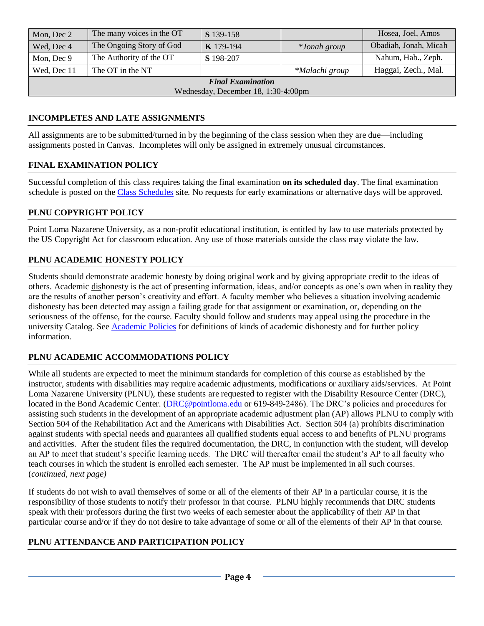| Mon, Dec 2                          | The many voices in the OT | <b>S</b> 139-158 |                | Hosea, Joel, Amos     |  |  |
|-------------------------------------|---------------------------|------------------|----------------|-----------------------|--|--|
| Wed, Dec 4                          | The Ongoing Story of God  | <b>K</b> 179-194 | *Jonah group   | Obadiah, Jonah, Micah |  |  |
| Mon, Dec 9                          | The Authority of the OT   | S 198-207        |                | Nahum, Hab., Zeph.    |  |  |
| Wed, Dec 11                         | The OT in the NT          |                  | *Malachi group | Haggai, Zech., Mal.   |  |  |
| <b>Final Examination</b>            |                           |                  |                |                       |  |  |
| Wednesday, December 18, 1:30-4:00pm |                           |                  |                |                       |  |  |

## **INCOMPLETES AND LATE ASSIGNMENTS**

All assignments are to be submitted/turned in by the beginning of the class session when they are due—including assignments posted in Canvas. Incompletes will only be assigned in extremely unusual circumstances.

### **FINAL EXAMINATION POLICY**

Successful completion of this class requires taking the final examination **on its scheduled day**. The final examination schedule is posted on th[e Class Schedules](http://www.pointloma.edu/experience/academics/class-schedules) site. No requests for early examinations or alternative days will be approved.

### **PLNU COPYRIGHT POLICY**

Point Loma Nazarene University, as a non-profit educational institution, is entitled by law to use materials protected by the US Copyright Act for classroom education. Any use of those materials outside the class may violate the law.

#### **PLNU ACADEMIC HONESTY POLICY**

Students should demonstrate academic honesty by doing original work and by giving appropriate credit to the ideas of others. Academic dishonesty is the act of presenting information, ideas, and/or concepts as one's own when in reality they are the results of another person's creativity and effort. A faculty member who believes a situation involving academic dishonesty has been detected may assign a failing grade for that assignment or examination, or, depending on the seriousness of the offense, for the course. Faculty should follow and students may appeal using the procedure in the university Catalog. See [Academic Policies](http://catalog.pointloma.edu/content.php?catoid=18&navoid=1278) for definitions of kinds of academic dishonesty and for further policy information.

### **PLNU ACADEMIC ACCOMMODATIONS POLICY**

While all students are expected to meet the minimum standards for completion of this course as established by the instructor, students with disabilities may require academic adjustments, modifications or auxiliary aids/services. At Point Loma Nazarene University (PLNU), these students are requested to register with the Disability Resource Center (DRC), located in the Bond Academic Center. [\(DRC@pointloma.edu](mailto:DRC@pointloma.edu) or 619-849-2486). The DRC's policies and procedures for assisting such students in the development of an appropriate academic adjustment plan (AP) allows PLNU to comply with Section 504 of the Rehabilitation Act and the Americans with Disabilities Act. Section 504 (a) prohibits discrimination against students with special needs and guarantees all qualified students equal access to and benefits of PLNU programs and activities. After the student files the required documentation, the DRC, in conjunction with the student, will develop an AP to meet that student's specific learning needs. The DRC will thereafter email the student's AP to all faculty who teach courses in which the student is enrolled each semester. The AP must be implemented in all such courses. (*continued, next page)*

If students do not wish to avail themselves of some or all of the elements of their AP in a particular course, it is the responsibility of those students to notify their professor in that course. PLNU highly recommends that DRC students speak with their professors during the first two weeks of each semester about the applicability of their AP in that particular course and/or if they do not desire to take advantage of some or all of the elements of their AP in that course.

### **PLNU ATTENDANCE AND PARTICIPATION POLICY**